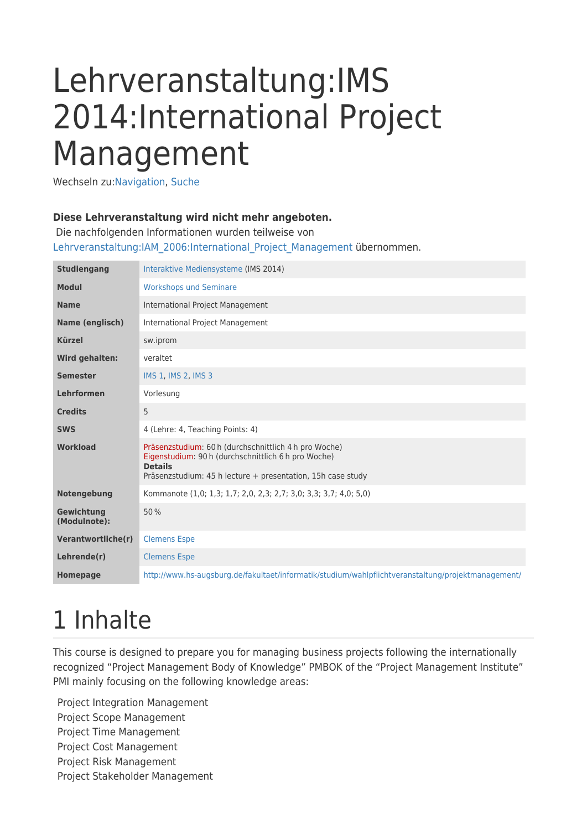# Lehrveranstaltung:IMS 2014:International Project Management

Wechseln zu:[Navigation,](#page--1-0) [Suche](#page--1-0)

#### **Diese Lehrveranstaltung wird nicht mehr angeboten.**

 Die nachfolgenden Informationen wurden teilweise von [Lehrveranstaltung:IAM\\_2006:International\\_Project\\_Management](http://glossar.hs-augsburg.de/Lehrveranstaltung:IAM_2006:International_Project_Management) übernommen.

| <b>Studiengang</b>                                                                                                                                                                                               | Interaktive Mediensysteme (IMS 2014)                                                               |  |  |  |  |  |  |
|------------------------------------------------------------------------------------------------------------------------------------------------------------------------------------------------------------------|----------------------------------------------------------------------------------------------------|--|--|--|--|--|--|
| <b>Modul</b>                                                                                                                                                                                                     | <b>Workshops und Seminare</b>                                                                      |  |  |  |  |  |  |
| <b>Name</b>                                                                                                                                                                                                      | <b>International Project Management</b>                                                            |  |  |  |  |  |  |
| Name (englisch)                                                                                                                                                                                                  | International Project Management                                                                   |  |  |  |  |  |  |
| <b>Kürzel</b>                                                                                                                                                                                                    | sw.iprom                                                                                           |  |  |  |  |  |  |
| Wird gehalten:                                                                                                                                                                                                   | veraltet                                                                                           |  |  |  |  |  |  |
| <b>Semester</b>                                                                                                                                                                                                  | IMS 1, IMS 2, IMS 3                                                                                |  |  |  |  |  |  |
| Lehrformen                                                                                                                                                                                                       | Vorlesung                                                                                          |  |  |  |  |  |  |
| <b>Credits</b>                                                                                                                                                                                                   | 5                                                                                                  |  |  |  |  |  |  |
| <b>SWS</b>                                                                                                                                                                                                       | 4 (Lehre: 4, Teaching Points: 4)                                                                   |  |  |  |  |  |  |
| Präsenzstudium: 60 h (durchschnittlich 4 h pro Woche)<br><b>Workload</b><br>Eigenstudium: 90 h (durchschnittlich 6 h pro Woche)<br><b>Details</b><br>Präsenzstudium: 45 h lecture + presentation, 15h case study |                                                                                                    |  |  |  |  |  |  |
| Notengebung                                                                                                                                                                                                      | Kommanote (1,0; 1,3; 1,7; 2,0, 2,3; 2,7; 3,0; 3,3; 3,7; 4,0; 5,0)                                  |  |  |  |  |  |  |
| Gewichtung<br>(Modulnote):                                                                                                                                                                                       | 50%                                                                                                |  |  |  |  |  |  |
| Verantwortliche(r)                                                                                                                                                                                               | <b>Clemens Espe</b>                                                                                |  |  |  |  |  |  |
| Lehrende(r)                                                                                                                                                                                                      | <b>Clemens Espe</b>                                                                                |  |  |  |  |  |  |
| <b>Homepage</b>                                                                                                                                                                                                  | http://www.hs-augsburg.de/fakultaet/informatik/studium/wahlpflichtveranstaltung/projektmanagement/ |  |  |  |  |  |  |

## 1 Inhalte

This course is designed to prepare you for managing business projects following the internationally recognized "Project Management Body of Knowledge" PMBOK of the "Project Management Institute" PMI mainly focusing on the following knowledge areas:

Project Integration Management Project Scope Management Project Time Management Project Cost Management Project Risk Management Project Stakeholder Management